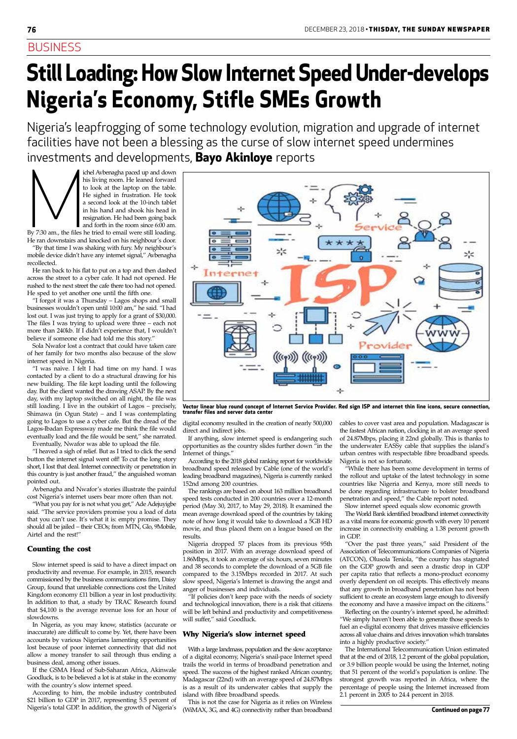## **BUSINESS**

ichel Avbenagha paced up and down<br>his living room. He leaned forward<br>to look at the laptop on the table.<br>He sighed in frustration. He took<br>a second look at the 10-inch tablet<br>in his hand and shook his head in<br>resignation. his living room. He leaned forward to look at the laptop on the table. He sighed in frustration. He took a second look at the 10-inch tablet in his hand and shook his head in resignation. He had been going back and forth in the room since 6:00 am.

By 7:30 am., the files he tried to email were still loading. He ran downstairs and knocked on his neighbour's door.

"By that time I was shaking with fury. My neighbour's mobile device didn't have any internet signal," Avbenagha recollected.

He ran back to his flat to put on a top and then dashed across the street to a cyber cafe. It had not opened. He rushed to the next street the cafe there too had not opened. He sped to yet another one until the fifth one.

"I forgot it was a Thursday – Lagos shops and small businesses wouldn't open until 10:00 am," he said. "I had lost out. I was just trying to apply for a grant of \$30,000. The files I was trying to upload were three – each not more than 240kb. If I didn't experience that, I wouldn't believe if someone else had told me this story."

Sola Nwafor lost a contract that could have taken care of her family for two months also because of the slow internet speed in Nigeria.

"I was naive. I felt I had time on my hand. I was contacted by a client to do a structural drawing for his new building. The file kept loading until the following day. But the client wanted the drawing ASAP. By the next day, with my laptop switched on all night, the file was still loading. I live in the outskirt of Lagos – precisely, Shimawa (in Ogun State) – and I was contemplating going to Lagos to use a cyber cafe. But the dread of the Lagos-Ibadan Expressway made me think the file would eventually load and the file would be sent," she narrated.

Eventually, Nwafor was able to upload the file.

"I heaved a sigh of relief. But as I tried to click the send button the internet signal went off! To cut the long story short, I lost that deal. Internet connectivity or penetration in this country is just another fraud," the anguished woman pointed out.

Avbenagha and Nwafor's stories illustrate the painful cost Nigeria's internet users bear more often than not.

"What you pay for is not what you get," Ade Adejuyigbe said. "The service providers promise you a load of data that you can't use. It's what it is: empty promise. They should all be jailed – their CEOs; from MTN, Glo, 9Mobile, Airtel and the rest!"

#### Counting the cost

Slow internet speed is said to have a direct impact on productivity and revenue. For example, in 2015, research commissioned by the business communications firm, Daisy Group, found that unreliable connections cost the United Kingdom economy £11 billion a year in lost productivity. In addition to that, a study by TRAC Research found that \$4,100 is the average revenue loss for an hour of slowdowns. In Nigeria, as you may know, statistics (accurate or inaccurate) are difficult to come by. Yet, there have been accounts by various Nigerians lamenting opportunities lost because of poor internet connectivity that did not allow a money transfer to sail through thus ending a business deal, among other issues. If the GSMA Head of Sub-Saharan Africa, Akinwale Goodluck, is to be believed a lot is at stake in the economy with the country's slow internet speed. According to him, the mobile industry contributed \$21 billion to GDP in 2017, representing 5.5 percent of Nigeria's total GDP. In addition, the growth of Nigeria's

digital economy resulted in the creation of nearly 500,000 direct and indirect jobs.

If anything, slow internet speed is endangering such opportunities as the country slides further down "in the Internet of things."

According to the 2018 global ranking report for worldwide broadband speed released by Cable (one of the world's leading broadband magazines), Nigeria is currently ranked 152nd among 200 countries.

The rankings are based on about 163 million broadband speed tests conducted in 200 countries over a 12-month period (May 30, 2017, to May 29, 2018). It examined the mean average download speed of the countries by taking note of how long it would take to download a 5GB HD movie, and thus placed them on a league based on the results.

Nigeria dropped 57 places from its previous 95th position in 2017. With an average download speed of 1.86Mbps, it took an average of six hours, seven minutes and 38 seconds to complete the download of a 5GB file compared to the 3.15Mbps recorded in 2017. At such slow speed, Nigeria's Internet is drawing the angst and anger of businesses and individuals. "If policies don't keep pace with the needs of society and technological innovation, there is a risk that citizens will be left behind and productivity and competitiveness will suffer," said Goodluck.

#### Why Nigeria's slow internet speed

With a large landmass, population and the slow acceptance of a digital economy, Nigeria's snail-pace Internet speed trails the world in terms of broadband penetration and speed. The success of the highest ranked African country, Madagascar (22nd) with an average speed of 24.87Mbps is as a result of its underwater cables that supply the island with fibre broadband speeds.

This is not the case for Nigeria as it relies on Wireless (WiMAX, 3G, and 4G) connectivity rather than broadband cables to cover vast area and population. Madagascar is the fastest African nation, clocking in at an average speed of 24.87Mbps, placing it 22nd globally. This is thanks to the underwater EASSy cable that supplies the island's urban centres with respectable fibre broadband speeds. Nigeria is not so fortunate.

"While there has been some development in terms of the rollout and uptake of the latest technology in some countries like Nigeria and Kenya, more still needs to be done regarding infrastructure to bolster broadband penetration and speed," the Cable report noted.

Slow internet speed equals slow economic growth The World Bank identified broadband internet connectivity as a vital means for economic growth with every 10 percent increase in connectivity enabling a 1.38 percent growth in GDP.

"Over the past three years," said President of the Association of Telecommunications Companies of Nigeria (ATCON), Olusola Teniola, "the country has stagnated on the GDP growth and seen a drastic drop in GDP per capita ratio that reflects a mono-product economy overly dependent on oil receipts. This effectively means that any growth in broadband penetration has not been sufficient to create an ecosystem large enough to diversify the economy and have a massive impact on the citizens." Reflecting on the country's internet speed, he admitted: "We simply haven't been able to generate those speeds to fuel an e-digital economy that drives massive efficiencies across all value chains and drives innovation which translates into a highly productive society." The International Telecommunication Union estimated that at the end of 2018, 1.2 percent of the global population, or 3.9 billion people would be using the Internet, noting that 51 percent of the world's population is online. The strongest growth was reported in Africa, where the percentage of people using the Internet increased from 2.1 percent in 2005 to 24.4 percent in 2018.



**Vector linear blue round concept of Internet Service Provider. Red sign ISP and internet thin line icons, secure connection, transfer files and server data center**

# **Still Loading: How Slow Internet Speed Under-develops Nigeria's Economy, Stifle SMEs Growth**

Nigeria's leapfrogging of some technology evolution, migration and upgrade of internet facilities have not been a blessing as the curse of slow internet speed undermines investments and developments, **Bayo Akinloye** reports

**Continued on page 77**